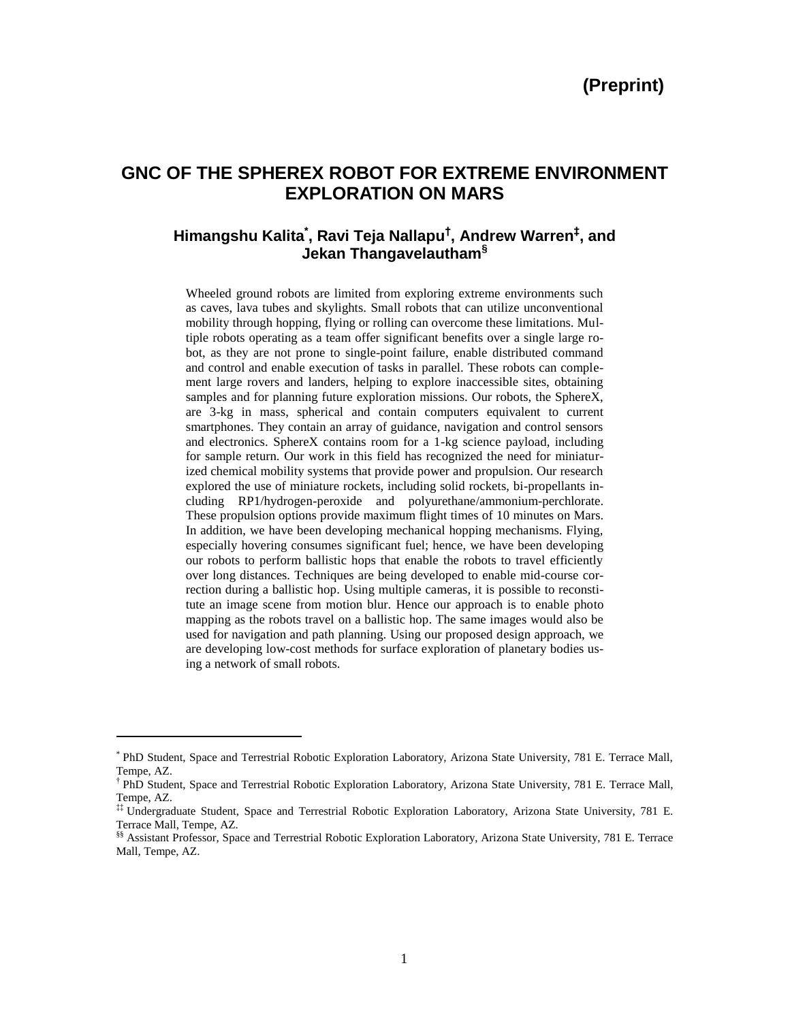# **GNC OF THE SPHEREX ROBOT FOR EXTREME ENVIRONMENT EXPLORATION ON MARS**

## **Himangshu Kalita\* , Ravi Teja Nallapu† , Andrew Warren‡ , and Jekan Thangavelautham§**

Wheeled ground robots are limited from exploring extreme environments such as caves, lava tubes and skylights. Small robots that can utilize unconventional mobility through hopping, flying or rolling can overcome these limitations. Multiple robots operating as a team offer significant benefits over a single large robot, as they are not prone to single-point failure, enable distributed command and control and enable execution of tasks in parallel. These robots can complement large rovers and landers, helping to explore inaccessible sites, obtaining samples and for planning future exploration missions. Our robots, the SphereX, are 3-kg in mass, spherical and contain computers equivalent to current smartphones. They contain an array of guidance, navigation and control sensors and electronics. SphereX contains room for a 1-kg science payload, including for sample return. Our work in this field has recognized the need for miniaturized chemical mobility systems that provide power and propulsion. Our research explored the use of miniature rockets, including solid rockets, bi-propellants including RP1/hydrogen-peroxide and polyurethane/ammonium-perchlorate. These propulsion options provide maximum flight times of 10 minutes on Mars. In addition, we have been developing mechanical hopping mechanisms. Flying, especially hovering consumes significant fuel; hence, we have been developing our robots to perform ballistic hops that enable the robots to travel efficiently over long distances. Techniques are being developed to enable mid-course correction during a ballistic hop. Using multiple cameras, it is possible to reconstitute an image scene from motion blur. Hence our approach is to enable photo mapping as the robots travel on a ballistic hop. The same images would also be used for navigation and path planning. Using our proposed design approach, we are developing low-cost methods for surface exploration of planetary bodies using a network of small robots.

 $\overline{\phantom{a}}$ 

<sup>\*</sup> PhD Student, Space and Terrestrial Robotic Exploration Laboratory, Arizona State University, 781 E. Terrace Mall, Tempe, AZ.

<sup>†</sup> PhD Student, Space and Terrestrial Robotic Exploration Laboratory, Arizona State University, 781 E. Terrace Mall, Tempe, AZ.

<sup>‡‡</sup> Undergraduate Student, Space and Terrestrial Robotic Exploration Laboratory, Arizona State University, 781 E. Terrace Mall, Tempe, AZ.

<sup>§§</sup> Assistant Professor, Space and Terrestrial Robotic Exploration Laboratory, Arizona State University, 781 E. Terrace Mall, Tempe, AZ.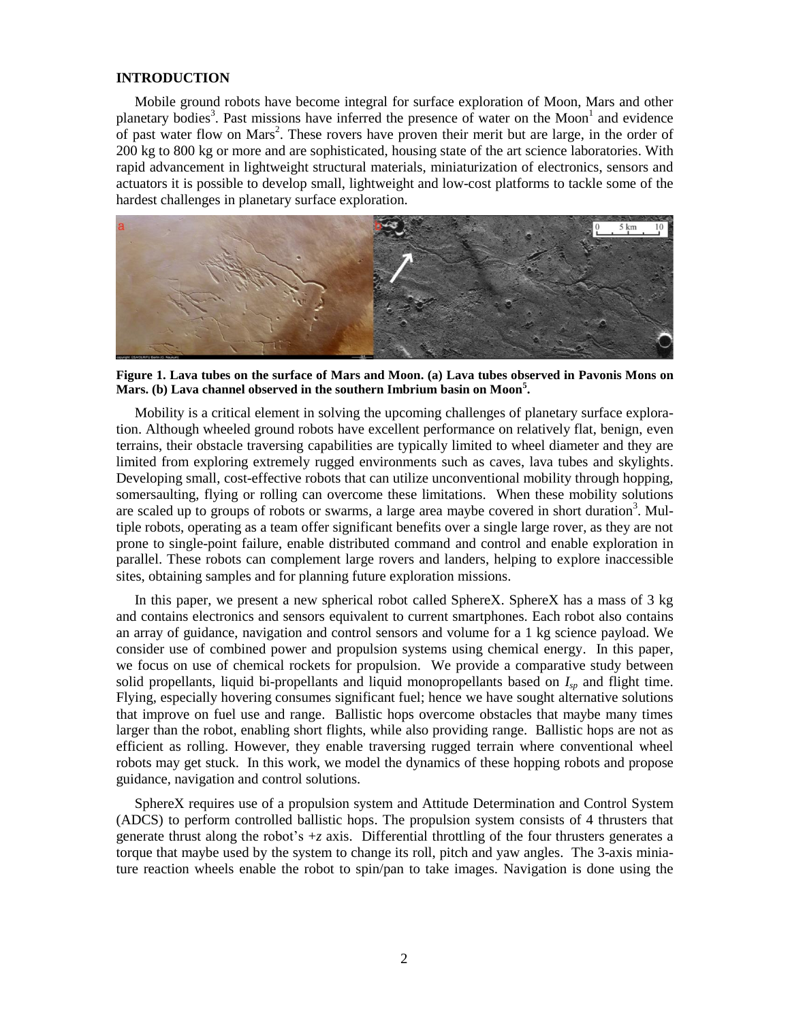## **INTRODUCTION**

Mobile ground robots have become integral for surface exploration of Moon, Mars and other planetary bodies<sup>3</sup>. Past missions have inferred the presence of water on the Moon<sup>1</sup> and evidence of past water flow on Mars<sup>2</sup>. These rovers have proven their merit but are large, in the order of 200 kg to 800 kg or more and are sophisticated, housing state of the art science laboratories. With rapid advancement in lightweight structural materials, miniaturization of electronics, sensors and actuators it is possible to develop small, lightweight and low-cost platforms to tackle some of the hardest challenges in planetary surface exploration.



**Figure 1. Lava tubes on the surface of Mars and Moon. (a) Lava tubes observed in Pavonis Mons on Mars. (b) Lava channel observed in the southern Imbrium basin on Moon<sup>5</sup> .**

Mobility is a critical element in solving the upcoming challenges of planetary surface exploration. Although wheeled ground robots have excellent performance on relatively flat, benign, even terrains, their obstacle traversing capabilities are typically limited to wheel diameter and they are limited from exploring extremely rugged environments such as caves, lava tubes and skylights. Developing small, cost-effective robots that can utilize unconventional mobility through hopping, somersaulting, flying or rolling can overcome these limitations. When these mobility solutions are scaled up to groups of robots or swarms, a large area maybe covered in short duration<sup>3</sup>. Multiple robots, operating as a team offer significant benefits over a single large rover, as they are not prone to single-point failure, enable distributed command and control and enable exploration in parallel. These robots can complement large rovers and landers, helping to explore inaccessible sites, obtaining samples and for planning future exploration missions.

In this paper, we present a new spherical robot called SphereX. SphereX has a mass of 3 kg and contains electronics and sensors equivalent to current smartphones. Each robot also contains an array of guidance, navigation and control sensors and volume for a 1 kg science payload. We consider use of combined power and propulsion systems using chemical energy. In this paper, we focus on use of chemical rockets for propulsion. We provide a comparative study between solid propellants, liquid bi-propellants and liquid monopropellants based on *Isp* and flight time. Flying, especially hovering consumes significant fuel; hence we have sought alternative solutions that improve on fuel use and range. Ballistic hops overcome obstacles that maybe many times larger than the robot, enabling short flights, while also providing range. Ballistic hops are not as efficient as rolling. However, they enable traversing rugged terrain where conventional wheel robots may get stuck. In this work, we model the dynamics of these hopping robots and propose guidance, navigation and control solutions.

SphereX requires use of a propulsion system and Attitude Determination and Control System (ADCS) to perform controlled ballistic hops. The propulsion system consists of 4 thrusters that generate thrust along the robot's  $+z$  axis. Differential throttling of the four thrusters generates a torque that maybe used by the system to change its roll, pitch and yaw angles. The 3-axis miniature reaction wheels enable the robot to spin/pan to take images. Navigation is done using the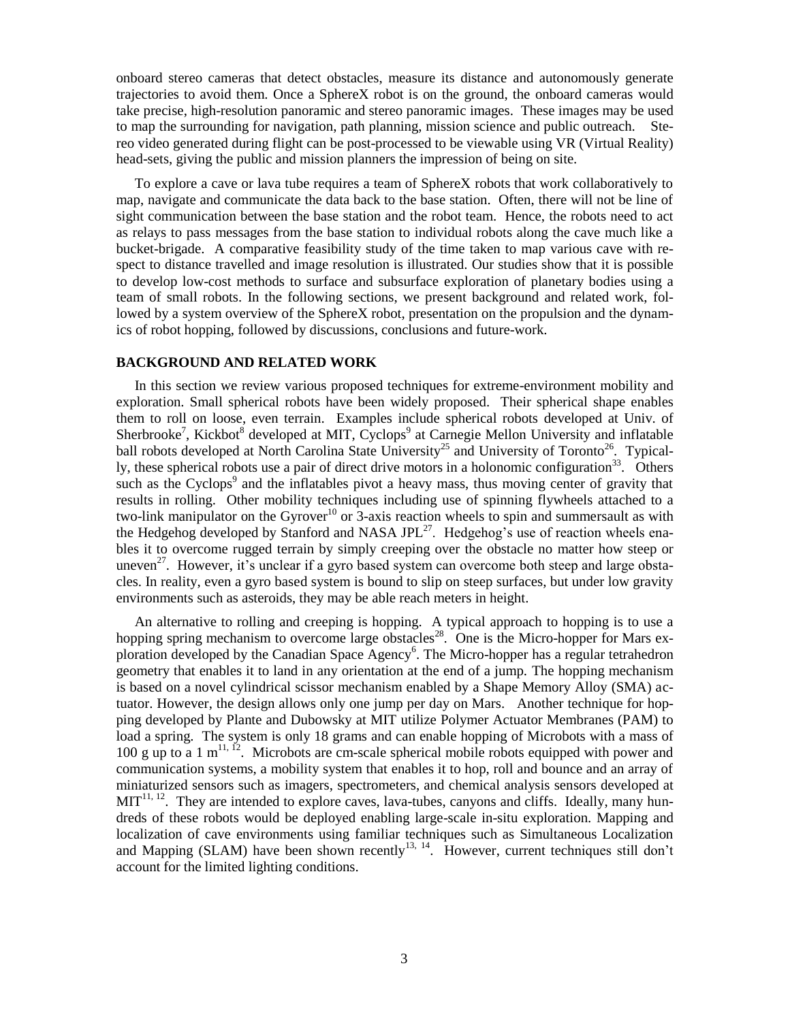onboard stereo cameras that detect obstacles, measure its distance and autonomously generate trajectories to avoid them. Once a SphereX robot is on the ground, the onboard cameras would take precise, high-resolution panoramic and stereo panoramic images. These images may be used to map the surrounding for navigation, path planning, mission science and public outreach. Stereo video generated during flight can be post-processed to be viewable using VR (Virtual Reality) head-sets, giving the public and mission planners the impression of being on site.

To explore a cave or lava tube requires a team of SphereX robots that work collaboratively to map, navigate and communicate the data back to the base station. Often, there will not be line of sight communication between the base station and the robot team. Hence, the robots need to act as relays to pass messages from the base station to individual robots along the cave much like a bucket-brigade. A comparative feasibility study of the time taken to map various cave with respect to distance travelled and image resolution is illustrated. Our studies show that it is possible to develop low-cost methods to surface and subsurface exploration of planetary bodies using a team of small robots. In the following sections, we present background and related work, followed by a system overview of the SphereX robot, presentation on the propulsion and the dynamics of robot hopping, followed by discussions, conclusions and future-work.

## **BACKGROUND AND RELATED WORK**

In this section we review various proposed techniques for extreme-environment mobility and exploration. Small spherical robots have been widely proposed. Their spherical shape enables them to roll on loose, even terrain. Examples include spherical robots developed at Univ. of Sherbrooke<sup>7</sup>, Kickbot<sup>8</sup> developed at MIT, Cyclops<sup>9</sup> at Carnegie Mellon University and inflatable ball robots developed at North Carolina State University<sup>25</sup> and University of Toronto<sup>26</sup>. Typically, these spherical robots use a pair of direct drive motors in a holonomic configuration<sup>33</sup>. Others such as the Cyclops<sup>9</sup> and the inflatables pivot a heavy mass, thus moving center of gravity that results in rolling. Other mobility techniques including use of spinning flywheels attached to a two-link manipulator on the Gyrover<sup>10</sup> or 3-axis reaction wheels to spin and summersault as with the Hedgehog developed by Stanford and NASA JPL<sup>27</sup>. Hedgehog's use of reaction wheels enables it to overcome rugged terrain by simply creeping over the obstacle no matter how steep or uneven<sup>27</sup>. However, it's unclear if a gyro based system can overcome both steep and large obstacles. In reality, even a gyro based system is bound to slip on steep surfaces, but under low gravity environments such as asteroids, they may be able reach meters in height.

An alternative to rolling and creeping is hopping. A typical approach to hopping is to use a hopping spring mechanism to overcome large obstacles<sup>28</sup>. One is the Micro-hopper for Mars exploration developed by the Canadian Space Agency<sup>6</sup>. The Micro-hopper has a regular tetrahedron geometry that enables it to land in any orientation at the end of a jump. The hopping mechanism is based on a novel cylindrical scissor mechanism enabled by a Shape Memory Alloy (SMA) actuator. However, the design allows only one jump per day on Mars. Another technique for hopping developed by Plante and Dubowsky at MIT utilize Polymer Actuator Membranes (PAM) to load a spring. The system is only 18 grams and can enable hopping of Microbots with a mass of 100 g up to a 1  $m<sup>11, 12</sup>$ . Microbots are cm-scale spherical mobile robots equipped with power and communication systems, a mobility system that enables it to hop, roll and bounce and an array of miniaturized sensors such as imagers, spectrometers, and chemical analysis sensors developed at  $MIT<sup>11, 12</sup>$ . They are intended to explore caves, lava-tubes, canyons and cliffs. Ideally, many hundreds of these robots would be deployed enabling large-scale in-situ exploration. Mapping and localization of cave environments using familiar techniques such as Simultaneous Localization and Mapping (SLAM) have been shown recently<sup>13, 14</sup>. However, current techniques still don't account for the limited lighting conditions.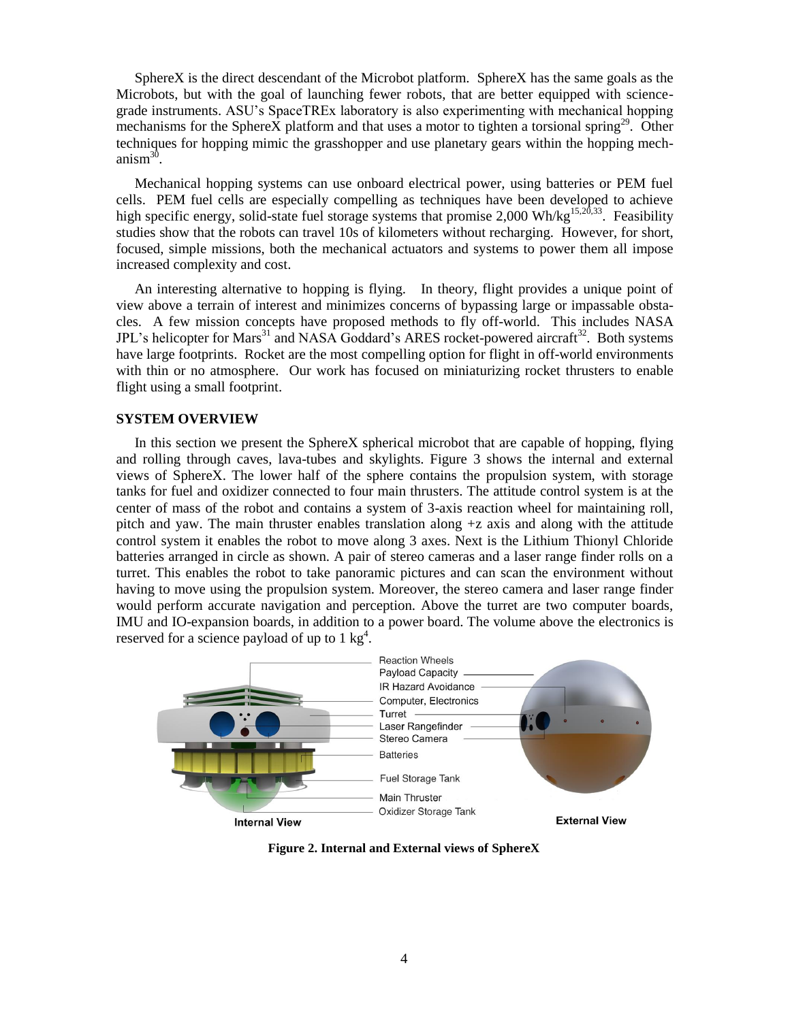SphereX is the direct descendant of the Microbot platform. SphereX has the same goals as the Microbots, but with the goal of launching fewer robots, that are better equipped with sciencegrade instruments. ASU's SpaceTREx laboratory is also experimenting with mechanical hopping mechanisms for the SphereX platform and that uses a motor to tighten a torsional spring<sup>29</sup>. Other techniques for hopping mimic the grasshopper and use planetary gears within the hopping mechanism<sup>30</sup>.

Mechanical hopping systems can use onboard electrical power, using batteries or PEM fuel cells. PEM fuel cells are especially compelling as techniques have been developed to achieve high specific energy, solid-state fuel storage systems that promise 2,000 Wh/kg<sup>15,20,33</sup>. Feasibility studies show that the robots can travel 10s of kilometers without recharging. However, for short, focused, simple missions, both the mechanical actuators and systems to power them all impose increased complexity and cost.

An interesting alternative to hopping is flying. In theory, flight provides a unique point of view above a terrain of interest and minimizes concerns of bypassing large or impassable obstacles. A few mission concepts have proposed methods to fly off-world. This includes NASA JPL's helicopter for Mars<sup>31</sup> and NASA Goddard's ARES rocket-powered aircraft<sup>32</sup>. Both systems have large footprints. Rocket are the most compelling option for flight in off-world environments with thin or no atmosphere. Our work has focused on miniaturizing rocket thrusters to enable flight using a small footprint.

## **SYSTEM OVERVIEW**

In this section we present the SphereX spherical microbot that are capable of hopping, flying and rolling through caves, lava-tubes and skylights. Figure 3 shows the internal and external views of SphereX. The lower half of the sphere contains the propulsion system, with storage tanks for fuel and oxidizer connected to four main thrusters. The attitude control system is at the center of mass of the robot and contains a system of 3-axis reaction wheel for maintaining roll, pitch and yaw. The main thruster enables translation along  $+z$  axis and along with the attitude control system it enables the robot to move along 3 axes. Next is the Lithium Thionyl Chloride batteries arranged in circle as shown. A pair of stereo cameras and a laser range finder rolls on a turret. This enables the robot to take panoramic pictures and can scan the environment without having to move using the propulsion system. Moreover, the stereo camera and laser range finder would perform accurate navigation and perception. Above the turret are two computer boards, IMU and IO-expansion boards, in addition to a power board. The volume above the electronics is reserved for a science payload of up to  $1 \text{ kg}^4$ .



**Figure 2. Internal and External views of SphereX**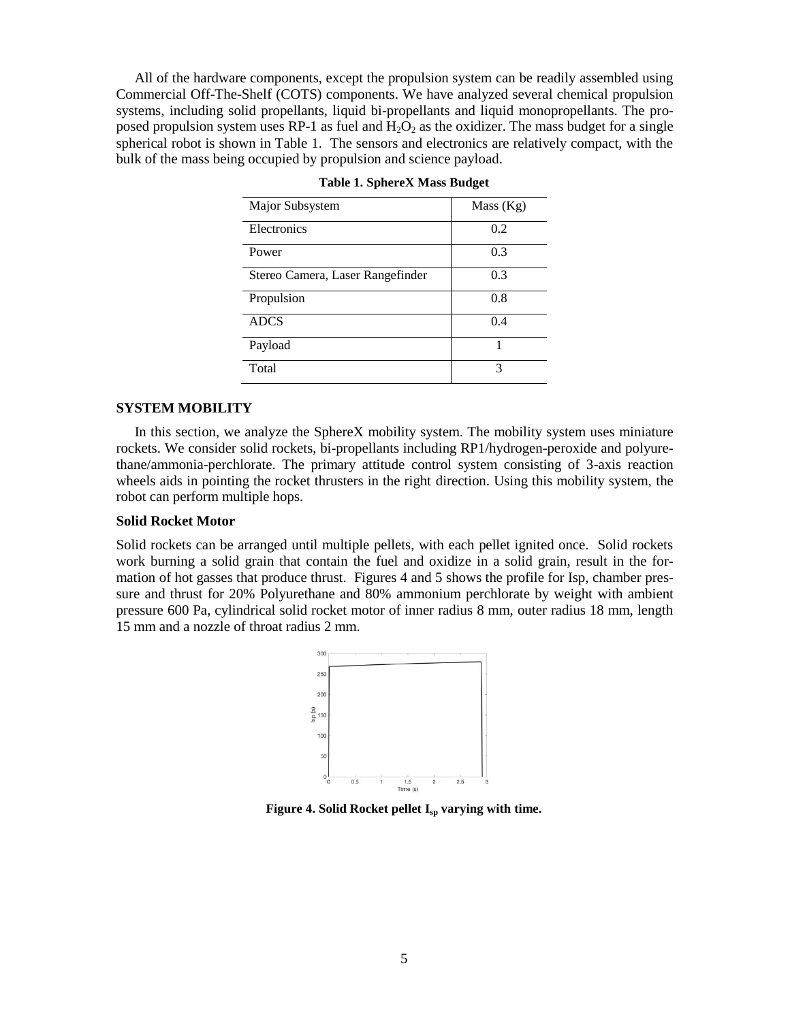All of the hardware components, except the propulsion system can be readily assembled using Commercial Off-The-Shelf (COTS) components. We have analyzed several chemical propulsion systems, including solid propellants, liquid bi-propellants and liquid monopropellants. The proposed propulsion system uses RP-1 as fuel and  $H_2O_2$  as the oxidizer. The mass budget for a single spherical robot is shown in Table 1. The sensors and electronics are relatively compact, with the bulk of the mass being occupied by propulsion and science payload.

| Major Subsystem                  | Mass (Kg) |
|----------------------------------|-----------|
| Electronics                      | 0.2       |
| Power                            | 0.3       |
| Stereo Camera, Laser Rangefinder | 0.3       |
| Propulsion                       | 0.8       |
| <b>ADCS</b>                      | 0.4       |
| Payload                          |           |
| Total                            | 3         |

|  | <b>Table 1. SphereX Mass Budget</b> |  |
|--|-------------------------------------|--|
|  |                                     |  |

## **SYSTEM MOBILITY**

In this section, we analyze the SphereX mobility system. The mobility system uses miniature rockets. We consider solid rockets, bi-propellants including RP1/hydrogen-peroxide and polyurethane/ammonia-perchlorate. The primary attitude control system consisting of 3-axis reaction wheels aids in pointing the rocket thrusters in the right direction. Using this mobility system, the robot can perform multiple hops.

## **Solid Rocket Motor**

Solid rockets can be arranged until multiple pellets, with each pellet ignited once. Solid rockets work burning a solid grain that contain the fuel and oxidize in a solid grain, result in the formation of hot gasses that produce thrust. Figures 4 and 5 shows the profile for Isp, chamber pressure and thrust for 20% Polyurethane and 80% ammonium perchlorate by weight with ambient pressure 600 Pa, cylindrical solid rocket motor of inner radius 8 mm, outer radius 18 mm, length 15 mm and a nozzle of throat radius 2 mm.



**Figure 4. Solid Rocket pellet Isp varying with time.**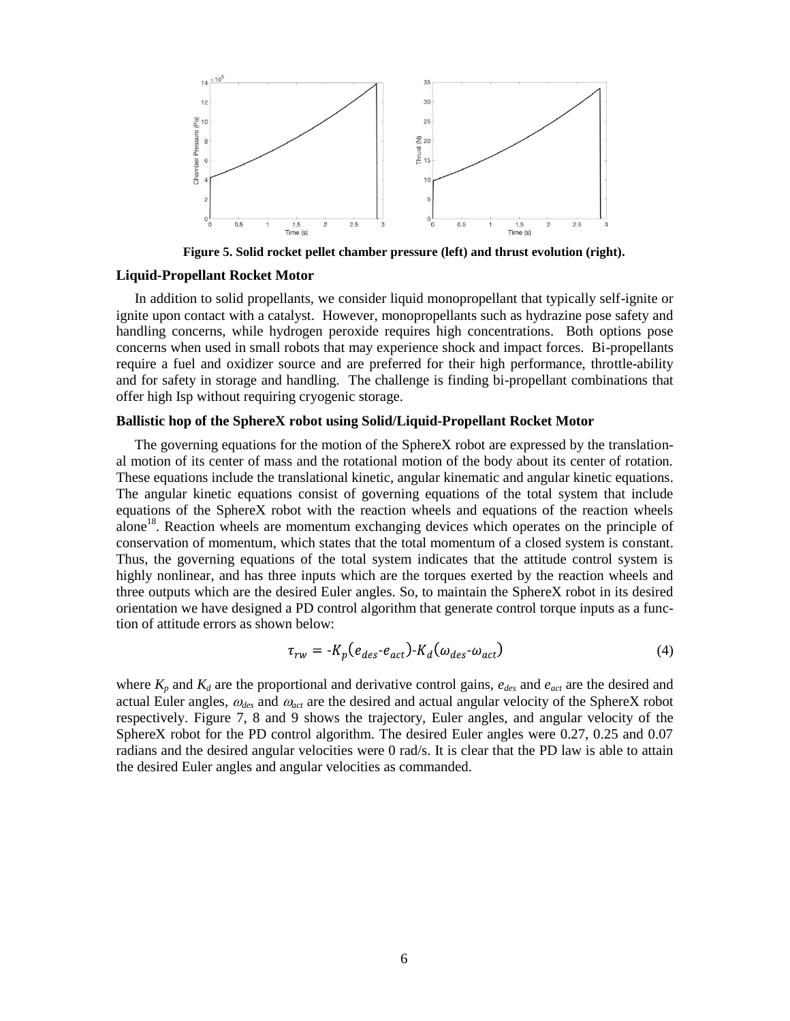

**Figure 5. Solid rocket pellet chamber pressure (left) and thrust evolution (right).**

## **Liquid-Propellant Rocket Motor**

In addition to solid propellants, we consider liquid monopropellant that typically self-ignite or ignite upon contact with a catalyst. However, monopropellants such as hydrazine pose safety and handling concerns, while hydrogen peroxide requires high concentrations. Both options pose concerns when used in small robots that may experience shock and impact forces. Bi-propellants require a fuel and oxidizer source and are preferred for their high performance, throttle-ability and for safety in storage and handling. The challenge is finding bi-propellant combinations that offer high Isp without requiring cryogenic storage.

## **Ballistic hop of the SphereX robot using Solid/Liquid-Propellant Rocket Motor**

The governing equations for the motion of the SphereX robot are expressed by the translational motion of its center of mass and the rotational motion of the body about its center of rotation. These equations include the translational kinetic, angular kinematic and angular kinetic equations. The angular kinetic equations consist of governing equations of the total system that include equations of the SphereX robot with the reaction wheels and equations of the reaction wheels alone<sup>18</sup>. Reaction wheels are momentum exchanging devices which operates on the principle of conservation of momentum, which states that the total momentum of a closed system is constant. Thus, the governing equations of the total system indicates that the attitude control system is highly nonlinear, and has three inputs which are the torques exerted by the reaction wheels and three outputs which are the desired Euler angles. So, to maintain the SphereX robot in its desired orientation we have designed a PD control algorithm that generate control torque inputs as a function of attitude errors as shown below:

$$
\tau_{rw} = -K_p(e_{des} - e_{act}) - K_d(\omega_{des} - \omega_{act})
$$
\n(4)

where  $K_p$  and  $K_d$  are the proportional and derivative control gains,  $e_{des}$  and  $e_{act}$  are the desired and actual Euler angles,  $\omega_{des}$  and  $\omega_{act}$  are the desired and actual angular velocity of the SphereX robot respectively. Figure 7, 8 and 9 shows the trajectory, Euler angles, and angular velocity of the SphereX robot for the PD control algorithm. The desired Euler angles were 0.27, 0.25 and 0.07 radians and the desired angular velocities were 0 rad/s. It is clear that the PD law is able to attain the desired Euler angles and angular velocities as commanded.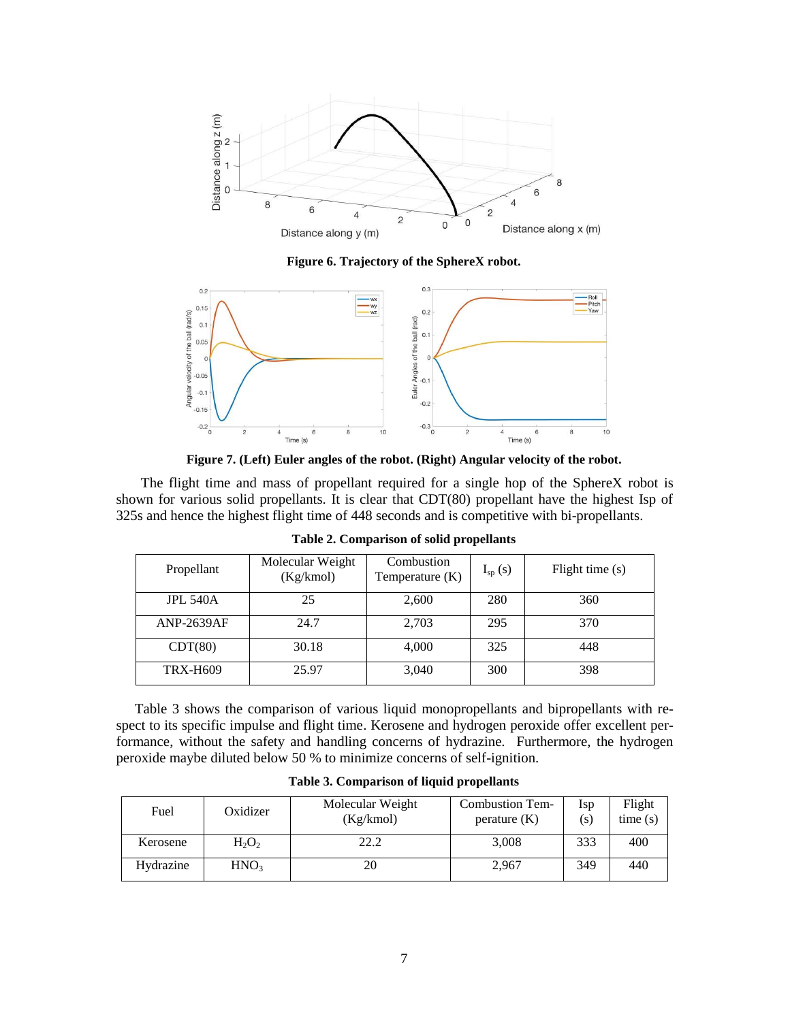

**Figure 6. Trajectory of the SphereX robot.**



**Figure 7. (Left) Euler angles of the robot. (Right) Angular velocity of the robot.**

 The flight time and mass of propellant required for a single hop of the SphereX robot is shown for various solid propellants. It is clear that CDT(80) propellant have the highest Isp of 325s and hence the highest flight time of 448 seconds and is competitive with bi-propellants.

| Propellant        | Molecular Weight<br>(Kg/kmol) | Combustion<br>Temperature $(K)$ | $I_{sp}(s)$ | Flight time (s) |  |
|-------------------|-------------------------------|---------------------------------|-------------|-----------------|--|
| <b>JPL 540A</b>   | 25                            | 2,600                           | 280         | 360             |  |
| <b>ANP-2639AF</b> | 24.7                          | 2,703                           | 295         | 370             |  |
| CDT(80)           | 30.18                         | 4,000                           | 325         | 448             |  |
| <b>TRX-H609</b>   | 25.97                         | 3,040                           | 300         | 398             |  |

**Table 2. Comparison of solid propellants**

Table 3 shows the comparison of various liquid monopropellants and bipropellants with respect to its specific impulse and flight time. Kerosene and hydrogen peroxide offer excellent performance, without the safety and handling concerns of hydrazine. Furthermore, the hydrogen peroxide maybe diluted below 50 % to minimize concerns of self-ignition.

| Fuel      | Oxidizer         | Molecular Weight<br>(Kg/kmol) | <b>Combustion Tem-</b><br>$\text{perature (K)}$ | Isp<br>(s) | Flight<br>time(s) |
|-----------|------------------|-------------------------------|-------------------------------------------------|------------|-------------------|
| Kerosene  | $H_2O_2$         | 22.2                          | 3,008                                           | 333        | 400               |
| Hydrazine | HNO <sub>3</sub> | 20                            | 2,967                                           | 349        | 440               |

**Table 3. Comparison of liquid propellants**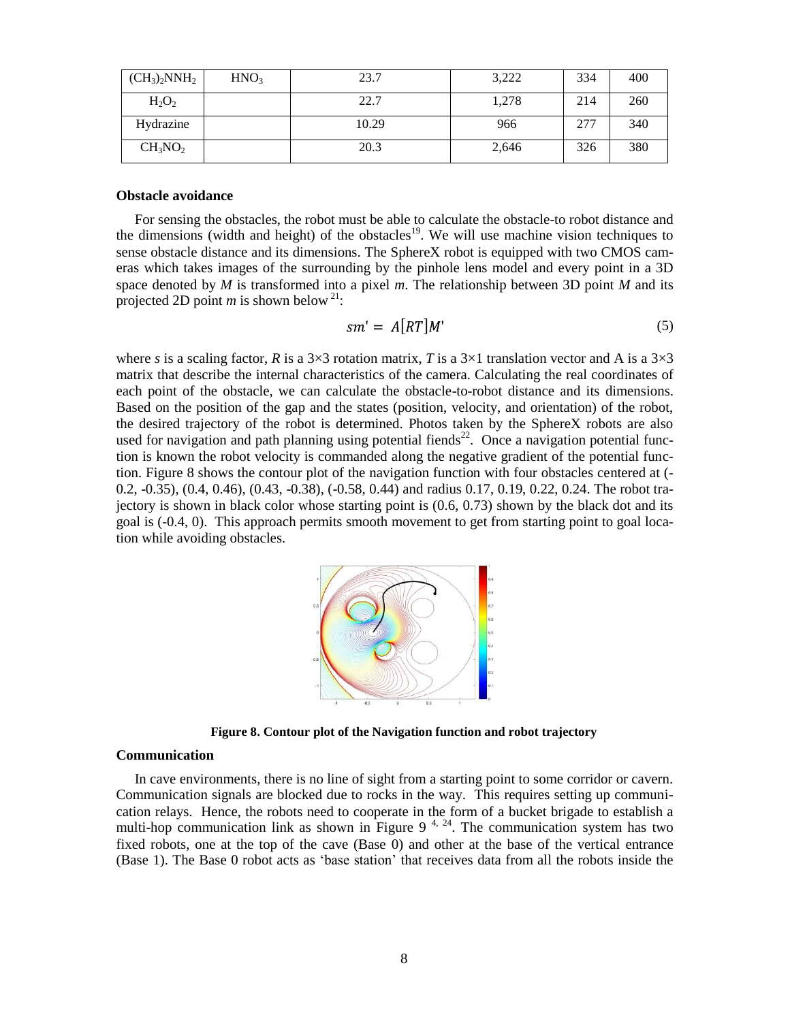| $(CH_3)_2$ NNH <sub>2</sub>     | HNO <sub>3</sub> | 23.7  | 3,222 | 334 | 400 |
|---------------------------------|------------------|-------|-------|-----|-----|
| $H_2O_2$                        |                  | 22.7  | 1,278 | 214 | 260 |
| Hydrazine                       |                  | 10.29 | 966   | 277 | 340 |
| CH <sub>3</sub> NO <sub>2</sub> |                  | 20.3  | 2,646 | 326 | 380 |

## **Obstacle avoidance**

For sensing the obstacles, the robot must be able to calculate the obstacle-to robot distance and the dimensions (width and height) of the obstacles<sup>19</sup>. We will use machine vision techniques to sense obstacle distance and its dimensions. The SphereX robot is equipped with two CMOS cameras which takes images of the surrounding by the pinhole lens model and every point in a 3D space denoted by *M* is transformed into a pixel *m*. The relationship between 3D point *M* and its projected 2D point *m* is shown below  $2^1$ :

$$
sm' = A[RT]M'
$$
\n<sup>(5)</sup>

where *s* is a scaling factor, *R* is a  $3\times3$  rotation matrix, *T* is a  $3\times1$  translation vector and A is a  $3\times3$ matrix that describe the internal characteristics of the camera. Calculating the real coordinates of each point of the obstacle, we can calculate the obstacle-to-robot distance and its dimensions. Based on the position of the gap and the states (position, velocity, and orientation) of the robot, the desired trajectory of the robot is determined. Photos taken by the SphereX robots are also used for navigation and path planning using potential fiends<sup>22</sup>. Once a navigation potential function is known the robot velocity is commanded along the negative gradient of the potential function. Figure 8 shows the contour plot of the navigation function with four obstacles centered at (- 0.2, -0.35), (0.4, 0.46), (0.43, -0.38), (-0.58, 0.44) and radius 0.17, 0.19, 0.22, 0.24. The robot trajectory is shown in black color whose starting point is (0.6, 0.73) shown by the black dot and its goal is (-0.4, 0). This approach permits smooth movement to get from starting point to goal location while avoiding obstacles.



**Figure 8. Contour plot of the Navigation function and robot trajectory**

#### **Communication**

In cave environments, there is no line of sight from a starting point to some corridor or cavern. Communication signals are blocked due to rocks in the way. This requires setting up communication relays. Hence, the robots need to cooperate in the form of a bucket brigade to establish a multi-hop communication link as shown in Figure 9<sup>4, 24</sup>. The communication system has two fixed robots, one at the top of the cave (Base 0) and other at the base of the vertical entrance (Base 1). The Base 0 robot acts as 'base station' that receives data from all the robots inside the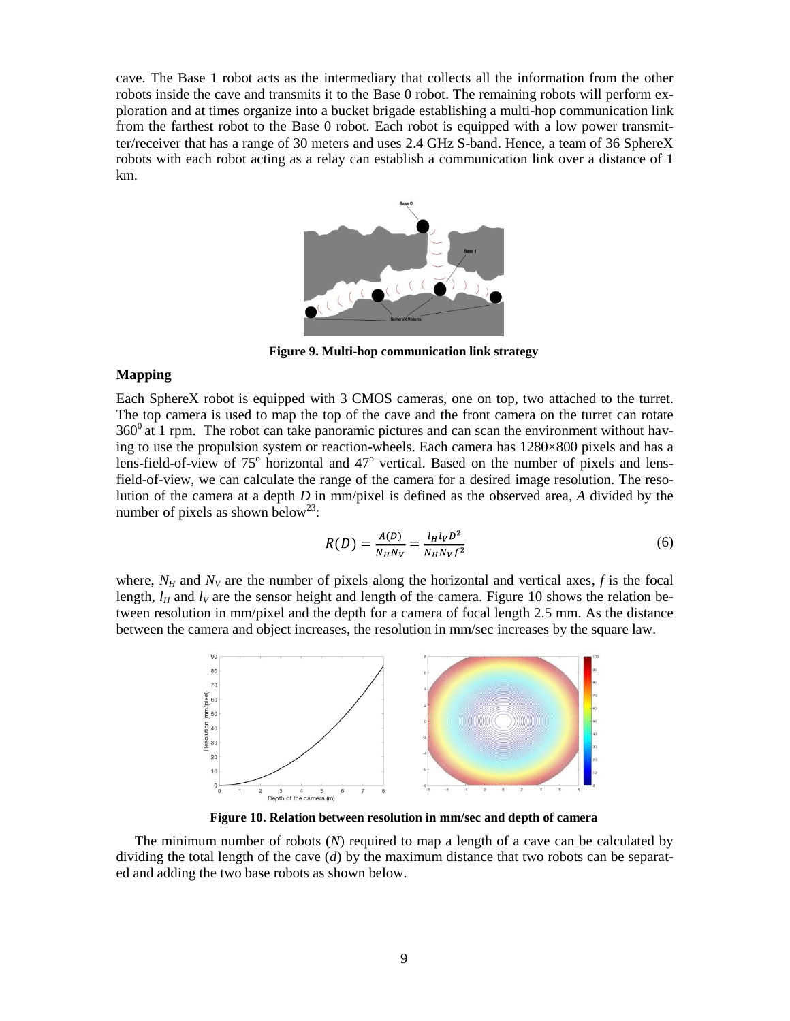cave. The Base 1 robot acts as the intermediary that collects all the information from the other robots inside the cave and transmits it to the Base 0 robot. The remaining robots will perform exploration and at times organize into a bucket brigade establishing a multi-hop communication link from the farthest robot to the Base 0 robot. Each robot is equipped with a low power transmitter/receiver that has a range of 30 meters and uses 2.4 GHz S-band. Hence, a team of 36 SphereX robots with each robot acting as a relay can establish a communication link over a distance of 1 km.



**Figure 9. Multi-hop communication link strategy**

## **Mapping**

Each SphereX robot is equipped with 3 CMOS cameras, one on top, two attached to the turret. The top camera is used to map the top of the cave and the front camera on the turret can rotate  $360^{\circ}$  at 1 rpm. The robot can take panoramic pictures and can scan the environment without having to use the propulsion system or reaction-wheels. Each camera has 1280×800 pixels and has a lens-field-of-view of  $75^{\circ}$  horizontal and  $47^{\circ}$  vertical. Based on the number of pixels and lensfield-of-view, we can calculate the range of the camera for a desired image resolution. The resolution of the camera at a depth *D* in mm/pixel is defined as the observed area, *A* divided by the number of pixels as shown below<sup>23</sup>:

$$
R(D) = \frac{A(D)}{N_H N_V} = \frac{l_H l_V D^2}{N_H N_V f^2}
$$
\n(6)

where,  $N_H$  and  $N_V$  are the number of pixels along the horizontal and vertical axes,  $f$  is the focal length,  $l_H$  and  $l_V$  are the sensor height and length of the camera. Figure 10 shows the relation between resolution in mm/pixel and the depth for a camera of focal length 2.5 mm. As the distance between the camera and object increases, the resolution in mm/sec increases by the square law.



**Figure 10. Relation between resolution in mm/sec and depth of camera**

The minimum number of robots (*N*) required to map a length of a cave can be calculated by dividing the total length of the cave (*d*) by the maximum distance that two robots can be separated and adding the two base robots as shown below.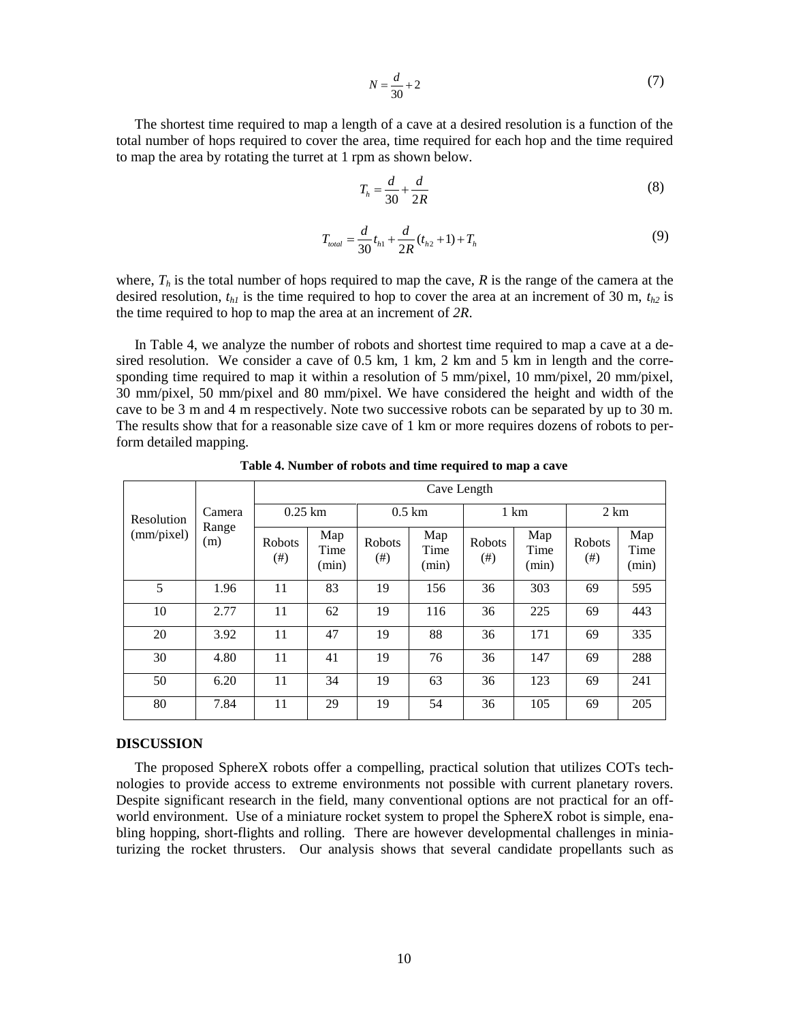$$
N = \frac{d}{30} + 2\tag{7}
$$

$$
T_h = \frac{d}{30} + \frac{d}{2R} \tag{8}
$$

$$
T_{total} = \frac{d}{30}t_{h1} + \frac{d}{2R}(t_{h2} + 1) + T_h
$$
\n(9)

|                                                                                                                                                                                                                                                                                                                                                                                                                                                                                                                                                                                                                       |                        |                    |                               | $N = \frac{a}{30} + 2$                                              |                      |                                                           |                      |                    | (1)                  |
|-----------------------------------------------------------------------------------------------------------------------------------------------------------------------------------------------------------------------------------------------------------------------------------------------------------------------------------------------------------------------------------------------------------------------------------------------------------------------------------------------------------------------------------------------------------------------------------------------------------------------|------------------------|--------------------|-------------------------------|---------------------------------------------------------------------|----------------------|-----------------------------------------------------------|----------------------|--------------------|----------------------|
| The shortest time required to map a length of a cave at a desired resolution is a function of the<br>otal number of hops required to cover the area, time required for each hop and the time require<br>theorem o map the area by rotating the turret at 1 rpm as shown below.                                                                                                                                                                                                                                                                                                                                        |                        |                    |                               |                                                                     |                      |                                                           |                      |                    |                      |
|                                                                                                                                                                                                                                                                                                                                                                                                                                                                                                                                                                                                                       |                        |                    |                               | $T_h = \frac{d}{30} + \frac{d}{2R}$                                 |                      |                                                           |                      |                    | (8)                  |
|                                                                                                                                                                                                                                                                                                                                                                                                                                                                                                                                                                                                                       |                        |                    |                               | $T_{total} = \frac{d}{30} t_{h1} + \frac{d}{2R} (t_{h2} + 1) + T_h$ |                      |                                                           |                      |                    | (9)                  |
| where, $T_h$ is the total number of hops required to map the cave, R is the range of the camera at the<br>lesired resolution, $t_{h1}$ is the time required to hop to cover the area at an increment of 30 m, $t_{h2}$ i<br>the time required to hop to map the area at an increment of $2R$ .                                                                                                                                                                                                                                                                                                                        |                        |                    |                               |                                                                     |                      |                                                           |                      |                    |                      |
| In Table 4, we analyze the number of robots and shortest time required to map a cave at a de<br>ired resolution. We consider a cave of 0.5 km, 1 km, 2 km and 5 km in length and the corre<br>ponding time required to map it within a resolution of 5 mm/pixel, 10 mm/pixel, 20 mm/pixel<br>00 mm/pixel, 50 mm/pixel and 80 mm/pixel. We have considered the height and width of th<br>ave to be 3 m and 4 m respectively. Note two successive robots can be separated by up to 30 m<br>The results show that for a reasonable size cave of 1 km or more requires dozens of robots to per<br>orm detailed mapping.   |                        |                    |                               |                                                                     |                      | Table 4. Number of robots and time required to map a cave |                      |                    |                      |
|                                                                                                                                                                                                                                                                                                                                                                                                                                                                                                                                                                                                                       |                        |                    | Cave Length                   |                                                                     |                      |                                                           |                      |                    |                      |
| Resolution                                                                                                                                                                                                                                                                                                                                                                                                                                                                                                                                                                                                            | Camera<br>Range<br>(m) |                    | $0.25$ km<br>$0.5 \text{ km}$ |                                                                     | 1 km                 |                                                           | 2 km                 |                    |                      |
| (mm/pixel)                                                                                                                                                                                                                                                                                                                                                                                                                                                                                                                                                                                                            |                        | Robots<br>$^{(#)}$ | Map<br>Time<br>(min)          | Robots<br>$^{(#)}$                                                  | Map<br>Time<br>(min) | Robots<br>$(\#)$                                          | Map<br>Time<br>(min) | Robots<br>$^{(#)}$ | Map<br>Time<br>(min) |
| $\overline{5}$                                                                                                                                                                                                                                                                                                                                                                                                                                                                                                                                                                                                        | 1.96                   | 11                 | 83                            | 19                                                                  | 156                  | 36                                                        | 303                  | 69                 | 595                  |
| 10                                                                                                                                                                                                                                                                                                                                                                                                                                                                                                                                                                                                                    | 2.77                   | 11                 | 62                            | 19                                                                  | 116                  | 36                                                        | 225                  | 69                 | 443                  |
| 20                                                                                                                                                                                                                                                                                                                                                                                                                                                                                                                                                                                                                    | 3.92                   | 11                 | 47                            | 19                                                                  | 88                   | 36                                                        | 171                  | 69                 | 335                  |
| 30                                                                                                                                                                                                                                                                                                                                                                                                                                                                                                                                                                                                                    | 4.80                   | 11                 | 41                            | 19                                                                  | 76                   | 36                                                        | 147                  | 69                 | 288                  |
| 50                                                                                                                                                                                                                                                                                                                                                                                                                                                                                                                                                                                                                    | 6.20                   | 11                 | 34                            | 19                                                                  | 63                   | 36                                                        | 123                  | 69                 | 241                  |
| 80                                                                                                                                                                                                                                                                                                                                                                                                                                                                                                                                                                                                                    | 7.84                   | 11                 | 29                            | 19                                                                  | 54                   | 36                                                        | 105                  | 69                 | 205                  |
| <b>DISCUSSION</b><br>The proposed SphereX robots offer a compelling, practical solution that utilizes COTs tech<br>ologies to provide access to extreme environments not possible with current planetary rovers<br>Despite significant research in the field, many conventional options are not practical for an off<br>world environment. Use of a miniature rocket system to propel the SphereX robot is simple, ena<br>bling hopping, short-flights and rolling. There are however developmental challenges in minia<br>urizing the rocket thrusters. Our analysis shows that several candidate propellants such a |                        |                    |                               |                                                                     |                      |                                                           |                      |                    |                      |
|                                                                                                                                                                                                                                                                                                                                                                                                                                                                                                                                                                                                                       |                        |                    |                               | 10                                                                  |                      |                                                           |                      |                    |                      |

**Table 4. Number of robots and time required to map a cave**

## **DISCUSSION**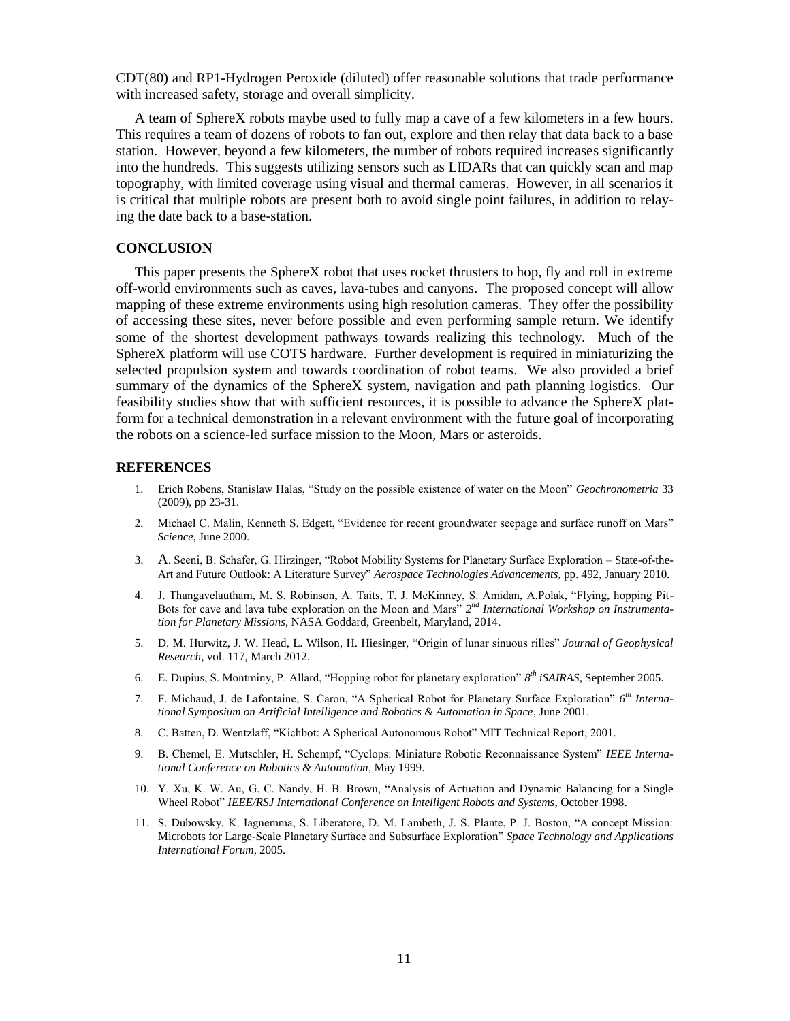CDT(80) and RP1-Hydrogen Peroxide (diluted) offer reasonable solutions that trade performance with increased safety, storage and overall simplicity.

A team of SphereX robots maybe used to fully map a cave of a few kilometers in a few hours. This requires a team of dozens of robots to fan out, explore and then relay that data back to a base station. However, beyond a few kilometers, the number of robots required increases significantly into the hundreds. This suggests utilizing sensors such as LIDARs that can quickly scan and map topography, with limited coverage using visual and thermal cameras. However, in all scenarios it is critical that multiple robots are present both to avoid single point failures, in addition to relaying the date back to a base-station.

## **CONCLUSION**

This paper presents the SphereX robot that uses rocket thrusters to hop, fly and roll in extreme off-world environments such as caves, lava-tubes and canyons. The proposed concept will allow mapping of these extreme environments using high resolution cameras. They offer the possibility of accessing these sites, never before possible and even performing sample return. We identify some of the shortest development pathways towards realizing this technology. Much of the SphereX platform will use COTS hardware. Further development is required in miniaturizing the selected propulsion system and towards coordination of robot teams. We also provided a brief summary of the dynamics of the SphereX system, navigation and path planning logistics. Our feasibility studies show that with sufficient resources, it is possible to advance the SphereX platform for a technical demonstration in a relevant environment with the future goal of incorporating the robots on a science-led surface mission to the Moon, Mars or asteroids.

## **REFERENCES**

- 1. Erich Robens, Stanislaw Halas, "Study on the possible existence of water on the Moon" *Geochronometria* 33 (2009), pp 23-31.
- 2. Michael C. Malin, Kenneth S. Edgett, "Evidence for recent groundwater seepage and surface runoff on Mars" *Science*, June 2000.
- 3. A. Seeni, B. Schafer, G. Hirzinger, "Robot Mobility Systems for Planetary Surface Exploration State-of-the-Art and Future Outlook: A Literature Survey" *Aerospace Technologies Advancements*, pp. 492, January 2010.
- 4. J. Thangavelautham, M. S. Robinson, A. Taits, T. J. McKinney, S. Amidan, A.Polak, "Flying, hopping Pit-Bots for cave and lava tube exploration on the Moon and Mars" 2<sup>nd</sup> International Workshop on Instrumenta*tion for Planetary Missions*, NASA Goddard, Greenbelt, Maryland, 2014.
- 5. D. M. Hurwitz, J. W. Head, L. Wilson, H. Hiesinger, "Origin of lunar sinuous rilles" *Journal of Geophysical Research*, vol. 117, March 2012.
- 6. E. Dupius, S. Montminy, P. Allard, "Hopping robot for planetary exploration" *8 th iSAIRAS*, September 2005.
- 7. F. Michaud, J. de Lafontaine, S. Caron, "A Spherical Robot for Planetary Surface Exploration" *6 th International Symposium on Artificial Intelligence and Robotics & Automation in Space*, June 2001.
- 8. C. Batten, D. Wentzlaff, "Kichbot: A Spherical Autonomous Robot" MIT Technical Report, 2001.
- 9. B. Chemel, E. Mutschler, H. Schempf, "Cyclops: Miniature Robotic Reconnaissance System" *IEEE International Conference on Robotics & Automation*, May 1999.
- 10. Y. Xu, K. W. Au, G. C. Nandy, H. B. Brown, "Analysis of Actuation and Dynamic Balancing for a Single Wheel Robot" *IEEE/RSJ International Conference on Intelligent Robots and Systems*, October 1998.
- 11. S. Dubowsky, K. Iagnemma, S. Liberatore, D. M. Lambeth, J. S. Plante, P. J. Boston, "A concept Mission: Microbots for Large-Scale Planetary Surface and Subsurface Exploration" *Space Technology and Applications International Forum*, 2005.